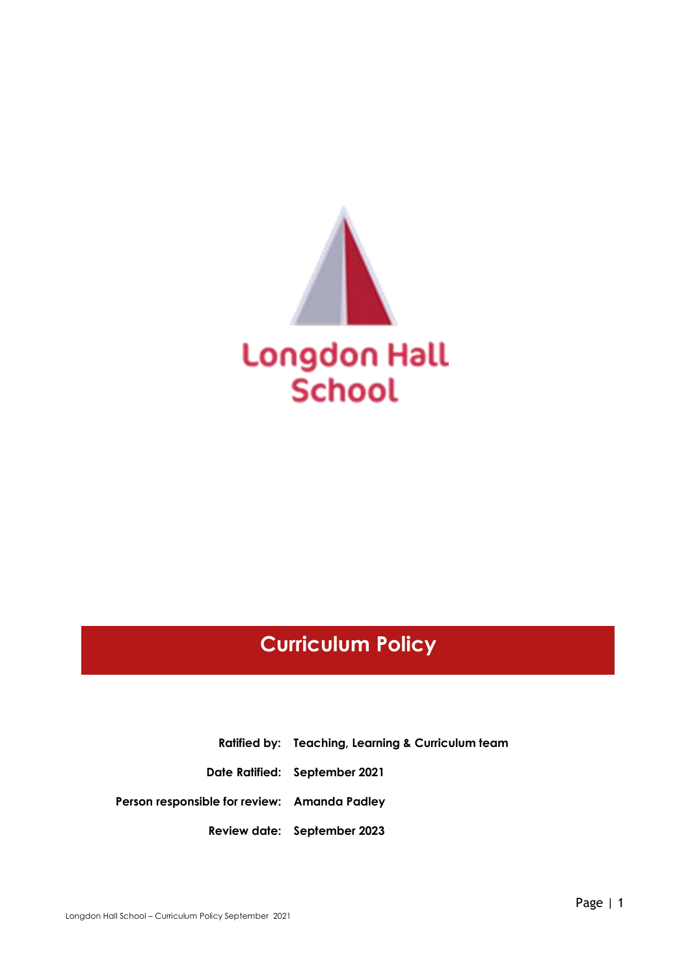

# **Curriculum Policy**

**Ratified by: Teaching, Learning & Curriculum team Date Ratified: September 2021 Person responsible for review: Amanda Padley Review date: September 2023**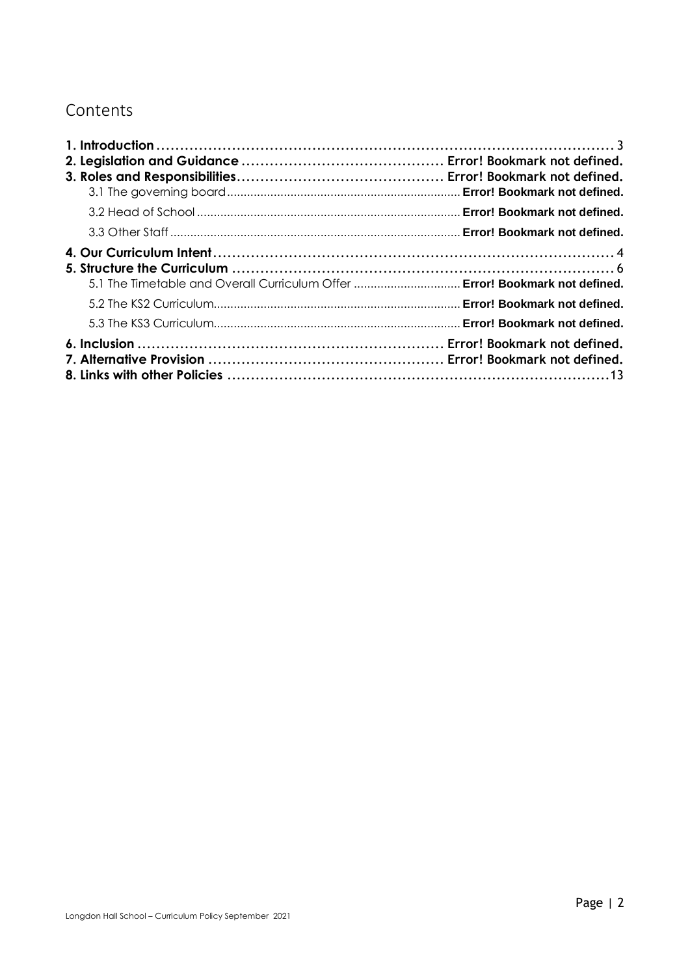## Contents

| 5.1 The Timetable and Overall Curriculum Offer  Error! Bookmark not defined. |  |
|------------------------------------------------------------------------------|--|
|                                                                              |  |
|                                                                              |  |
|                                                                              |  |
|                                                                              |  |
|                                                                              |  |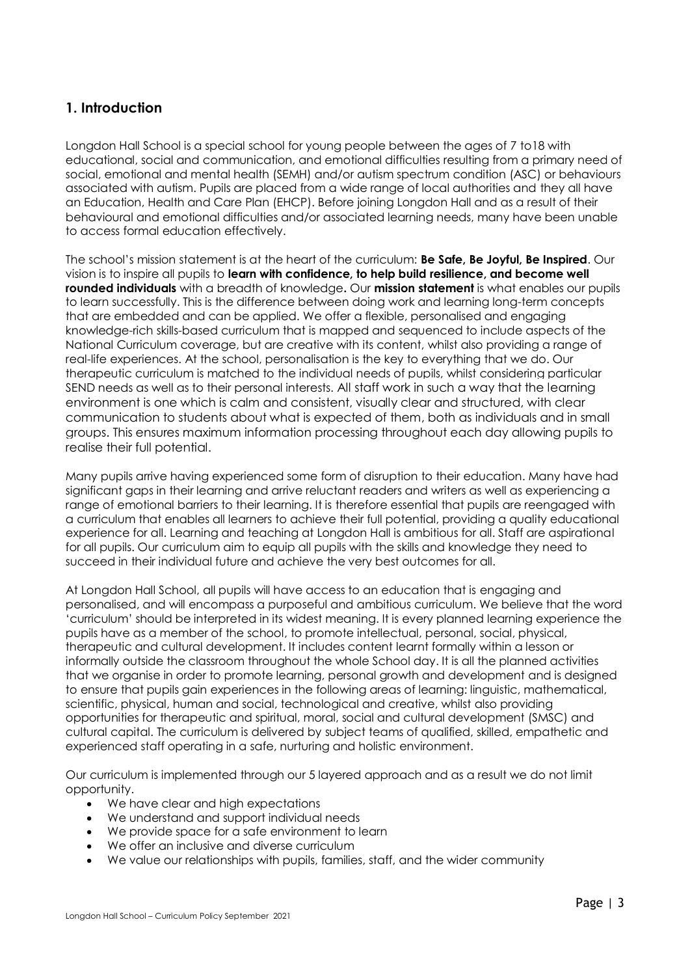## <span id="page-2-0"></span>**1. Introduction**

Longdon Hall School is a special school for young people between the ages of 7 to18 with educational, social and communication, and emotional difficulties resulting from a primary need of social, emotional and mental health (SEMH) and/or autism spectrum condition (ASC) or behaviours associated with autism. Pupils are placed from a wide range of local authorities and they all have an Education, Health and Care Plan (EHCP). Before joining Longdon Hall and as a result of their behavioural and emotional difficulties and/or associated learning needs, many have been unable to access formal education effectively.

The school's mission statement is at the heart of the curriculum: **Be Safe, Be Joyful, Be Inspired**. Our vision is to inspire all pupils to **learn with confidence, to help build resilience, and become well rounded individuals** with a breadth of knowledge**.** Our **mission statement** is what enables our pupils to learn successfully. This is the difference between doing work and learning long-term concepts that are embedded and can be applied. We offer a flexible, personalised and engaging knowledge-rich skills-based curriculum that is mapped and sequenced to include aspects of the National Curriculum coverage, but are creative with its content, whilst also providing a range of real-life experiences. At the school, personalisation is the key to everything that we do. Our therapeutic curriculum is matched to the individual needs of pupils, whilst considering particular SEND needs as well as to their personal interests. All staff work in such a way that the learning environment is one which is calm and consistent, visually clear and structured, with clear communication to students about what is expected of them, both as individuals and in small groups. This ensures maximum information processing throughout each day allowing pupils to realise their full potential.

Many pupils arrive having experienced some form of disruption to their education. Many have had significant gaps in their learning and arrive reluctant readers and writers as well as experiencing a range of emotional barriers to their learning. It is therefore essential that pupils are reengaged with a curriculum that enables all learners to achieve their full potential, providing a quality educational experience for all. Learning and teaching at Longdon Hall is ambitious for all. Staff are aspirational for all pupils. Our curriculum aim to equip all pupils with the skills and knowledge they need to succeed in their individual future and achieve the very best outcomes for all.

At Longdon Hall School, all pupils will have access to an education that is engaging and personalised, and will encompass a purposeful and ambitious curriculum. We believe that the word 'curriculum' should be interpreted in its widest meaning. It is every planned learning experience the pupils have as a member of the school, to promote intellectual, personal, social, physical, therapeutic and cultural development. It includes content learnt formally within a lesson or informally outside the classroom throughout the whole School day. It is all the planned activities that we organise in order to promote learning, personal growth and development and is designed to ensure that pupils gain experiences in the following areas of learning: linguistic, mathematical, scientific, physical, human and social, technological and creative, whilst also providing opportunities for therapeutic and spiritual, moral, social and cultural development (SMSC) and cultural capital. The curriculum is delivered by subject teams of qualified, skilled, empathetic and experienced staff operating in a safe, nurturing and holistic environment.

Our curriculum is implemented through our 5 layered approach and as a result we do not limit opportunity.

- We have clear and high expectations
- We understand and support individual needs
- We provide space for a safe environment to learn
- We offer an inclusive and diverse curriculum
- We value our relationships with pupils, families, staff, and the wider community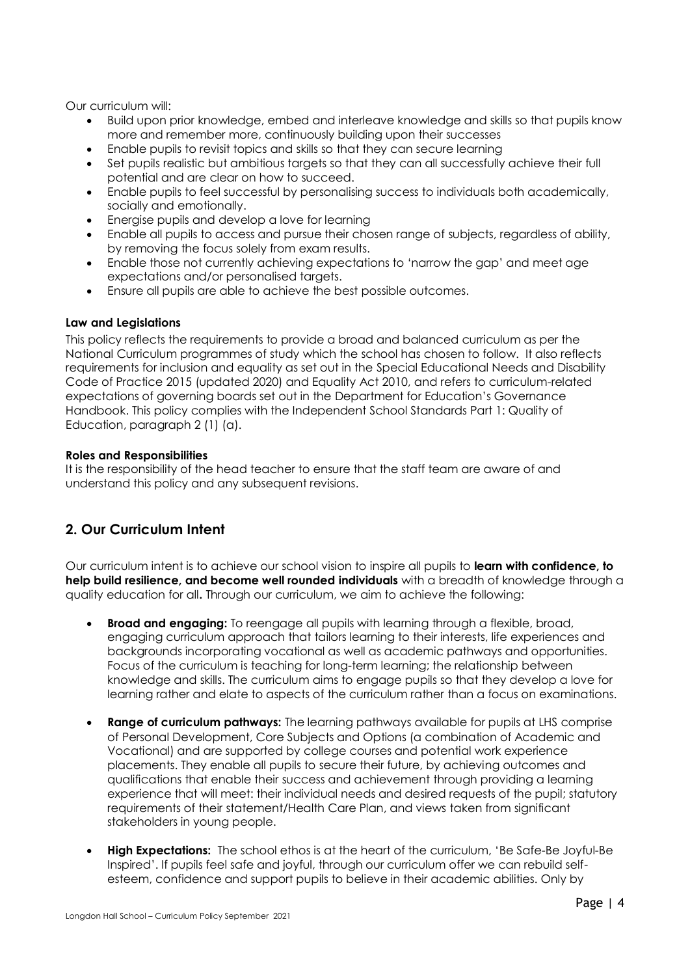Our curriculum will:

- Build upon prior knowledge, embed and interleave knowledge and skills so that pupils know more and remember more, continuously building upon their successes
- Enable pupils to revisit topics and skills so that they can secure learning
- Set pupils realistic but ambitious targets so that they can all successfully achieve their full potential and are clear on how to succeed.
- Enable pupils to feel successful by personalising success to individuals both academically, socially and emotionally.
- Energise pupils and develop a love for learning
- Enable all pupils to access and pursue their chosen range of subjects, regardless of ability, by removing the focus solely from exam results.
- Enable those not currently achieving expectations to 'narrow the gap' and meet age expectations and/or personalised targets.
- Ensure all pupils are able to achieve the best possible outcomes.

#### **Law and Legislations**

This policy reflects the requirements to provide a broad and balanced curriculum as per the [National Curriculum programmes of study](https://www.gov.uk/government/collections/national-curriculum) which the school has chosen to follow. It also reflects requirements for inclusion and equality as set out in the [Special Educational Needs and Disability](https://assets.publishing.service.gov.uk/government/uploads/system/uploads/attachment_data/file/398815/SEND_Code_of_Practice_January_2015.pdf)  [Code of Practice 2015](https://assets.publishing.service.gov.uk/government/uploads/system/uploads/attachment_data/file/398815/SEND_Code_of_Practice_January_2015.pdf) (updated 2020) and [Equality Act 2010,](https://www.legislation.gov.uk/ukpga/2010/15/part/6/chapter/1) and refers to curriculum-related expectations of governing boards set out in the Department for Ed[ucation's Governance](https://www.gov.uk/government/publications/governance-handbook)  [Handbook.](https://www.gov.uk/government/publications/governance-handbook) This policy complies with the Independent School Standards Part 1: Quality of Education, paragraph 2 (1) (a).

#### **Roles and Responsibilities**

It is the responsibility of the head teacher to ensure that the staff team are aware of and understand this policy and any subsequent revisions.

## <span id="page-3-0"></span>**2. Our Curriculum Intent**

Our curriculum intent is to achieve our school vision to inspire all pupils to **learn with confidence, to help build resilience, and become well rounded individuals** with a breadth of knowledge through a quality education for all**.** Through our curriculum, we aim to achieve the following:

- **Broad and engaging:** To reengage all pupils with learning through a flexible, broad, engaging curriculum approach that tailors learning to their interests, life experiences and backgrounds incorporating vocational as well as academic pathways and opportunities. Focus of the curriculum is teaching for long-term learning; the relationship between knowledge and skills. The curriculum aims to engage pupils so that they develop a love for learning rather and elate to aspects of the curriculum rather than a focus on examinations.
- **Range of curriculum pathways:** The learning pathways available for pupils at LHS comprise of Personal Development, Core Subjects and Options (a combination of Academic and Vocational) and are supported by college courses and potential work experience placements. They enable all pupils to secure their future, by achieving outcomes and qualifications that enable their success and achievement through providing a learning experience that will meet: their individual needs and desired requests of the pupil; statutory requirements of their statement/Health Care Plan, and views taken from significant stakeholders in young people.
- **High Expectations:** The school ethos is at the heart of the curriculum, 'Be Safe-Be Joyful-Be Inspired'. If pupils feel safe and joyful, through our curriculum offer we can rebuild selfesteem, confidence and support pupils to believe in their academic abilities. Only by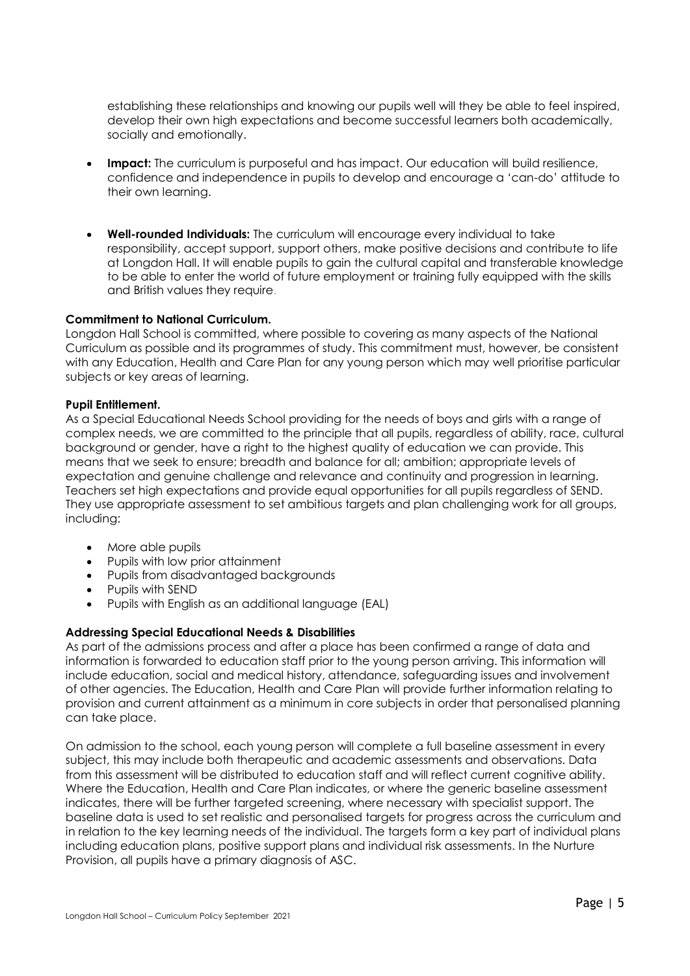establishing these relationships and knowing our pupils well will they be able to feel inspired, develop their own high expectations and become successful learners both academically, socially and emotionally.

- **Impact:** The curriculum is purposeful and has impact. Our education will build resilience, confidence and independence in pupils to develop and encourage a 'can-do' attitude to their own learning.
- **Well-rounded Individuals:** The curriculum will encourage every individual to take responsibility, accept support, support others, make positive decisions and contribute to life at Longdon Hall. It will enable pupils to gain the cultural capital and transferable knowledge to be able to enter the world of future employment or training fully equipped with the skills and British values they require.

#### **Commitment to National Curriculum.**

Longdon Hall School is committed, where possible to covering as many aspects of the National Curriculum as possible and its programmes of study. This commitment must, however, be consistent with any Education, Health and Care Plan for any young person which may well prioritise particular subjects or key areas of learning.

#### **Pupil Entitlement.**

As a Special Educational Needs School providing for the needs of boys and girls with a range of complex needs, we are committed to the principle that all pupils, regardless of ability, race, cultural background or gender, have a right to the highest quality of education we can provide. This means that we seek to ensure; breadth and balance for all; ambition; appropriate levels of expectation and genuine challenge and relevance and continuity and progression in learning. Teachers set high expectations and provide equal opportunities for all pupils regardless of SEND. They use appropriate assessment to set ambitious targets and plan challenging work for all groups, including:

- More able pupils
- Pupils with low prior attainment
- Pupils from disadvantaged backgrounds
- Pupils with SEND
- Pupils with English as an additional language (EAL)

#### **Addressing Special Educational Needs & Disabilities**

As part of the admissions process and after a place has been confirmed a range of data and information is forwarded to education staff prior to the young person arriving. This information will include education, social and medical history, attendance, safeguarding issues and involvement of other agencies. The Education, Health and Care Plan will provide further information relating to provision and current attainment as a minimum in core subjects in order that personalised planning can take place.

On admission to the school, each young person will complete a full baseline assessment in every subject, this may include both therapeutic and academic assessments and observations. Data from this assessment will be distributed to education staff and will reflect current cognitive ability. Where the Education, Health and Care Plan indicates, or where the generic baseline assessment indicates, there will be further targeted screening, where necessary with specialist support. The baseline data is used to set realistic and personalised targets for progress across the curriculum and in relation to the key learning needs of the individual. The targets form a key part of individual plans including education plans, positive support plans and individual risk assessments. In the Nurture Provision, all pupils have a primary diagnosis of ASC.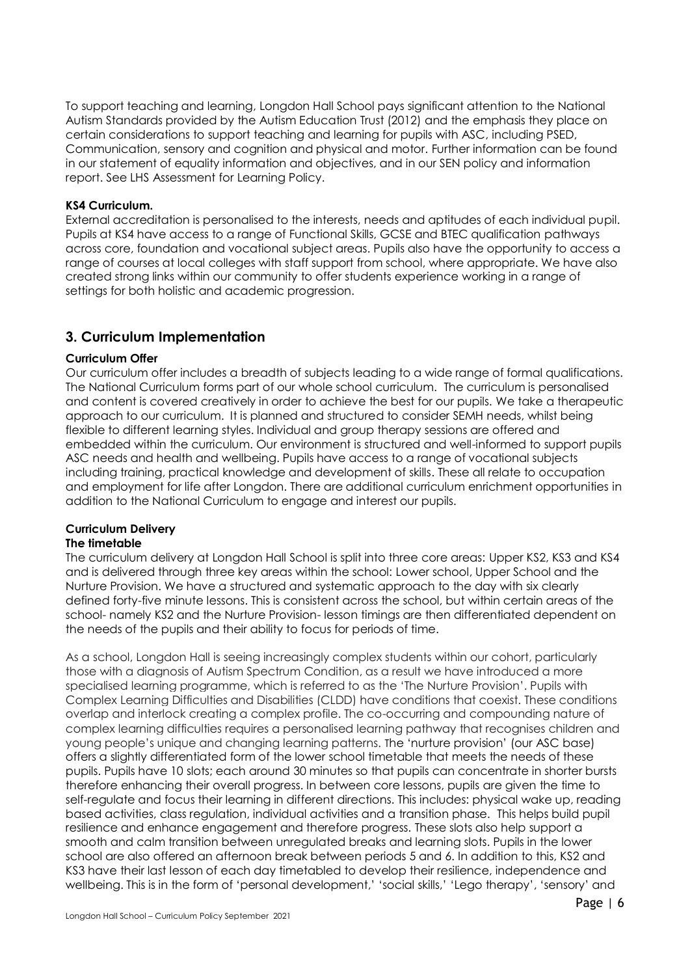To support teaching and learning, Longdon Hall School pays significant attention to the National Autism Standards provided by the Autism Education Trust (2012) and the emphasis they place on certain considerations to support teaching and learning for pupils with ASC, including PSED, Communication, sensory and cognition and physical and motor. Further information can be found in our statement of equality information and objectives, and in our SEN policy and information report. See LHS Assessment for Learning Policy.

#### **KS4 Curriculum.**

External accreditation is personalised to the interests, needs and aptitudes of each individual pupil. Pupils at KS4 have access to a range of Functional Skills, GCSE and BTEC qualification pathways across core, foundation and vocational subject areas. Pupils also have the opportunity to access a range of courses at local colleges with staff support from school, where appropriate. We have also created strong links within our community to offer students experience working in a range of settings for both holistic and academic progression.

#### <span id="page-5-0"></span>**3. Curriculum Implementation**

#### **Curriculum Offer**

Our curriculum offer includes a breadth of subjects leading to a wide range of formal qualifications. The National Curriculum forms part of our whole school curriculum. The curriculum is personalised and content is covered creatively in order to achieve the best for our pupils. We take a therapeutic approach to our curriculum. It is planned and structured to consider SEMH needs, whilst being flexible to different learning styles. Individual and group therapy sessions are offered and embedded within the curriculum. Our environment is structured and well-informed to support pupils ASC needs and health and wellbeing. Pupils have access to a range of vocational subjects including training, practical knowledge and development of skills. These all relate to occupation and employment for life after Longdon. There are additional curriculum enrichment opportunities in addition to the National Curriculum to engage and interest our pupils.

#### **Curriculum Delivery The timetable**

The curriculum delivery at Longdon Hall School is split into three core areas: Upper KS2, KS3 and KS4 and is delivered through three key areas within the school: Lower school, Upper School and the Nurture Provision. We have a structured and systematic approach to the day with six clearly defined forty-five minute lessons. This is consistent across the school, but within certain areas of the school- namely KS2 and the Nurture Provision- lesson timings are then differentiated dependent on the needs of the pupils and their ability to focus for periods of time.

As a school, Longdon Hall is seeing increasingly complex students within our cohort, particularly those with a diagnosis of Autism Spectrum Condition, as a result we have introduced a more specialised learning programme, which is referred to as the 'The Nurture Provision'. Pupils with Complex Learning Difficulties and Disabilities (CLDD) have conditions that coexist. These conditions overlap and interlock creating a complex profile. The co-occurring and compounding nature of complex learning difficulties requires a personalised learning pathway that recognises children and young people's unique and changing learning patterns. The 'nurture provision' (our ASC base) offers a slightly differentiated form of the lower school timetable that meets the needs of these pupils. Pupils have 10 slots; each around 30 minutes so that pupils can concentrate in shorter bursts therefore enhancing their overall progress. In between core lessons, pupils are given the time to self-regulate and focus their learning in different directions. This includes: physical wake up, reading based activities, class regulation, individual activities and a transition phase. This helps build pupil resilience and enhance engagement and therefore progress. These slots also help support a smooth and calm transition between unregulated breaks and learning slots. Pupils in the lower school are also offered an afternoon break between periods 5 and 6. In addition to this, KS2 and KS3 have their last lesson of each day timetabled to develop their resilience, independence and wellbeing. This is in the form of 'personal development,' 'social skills,' 'Lego therapy', 'sensory' and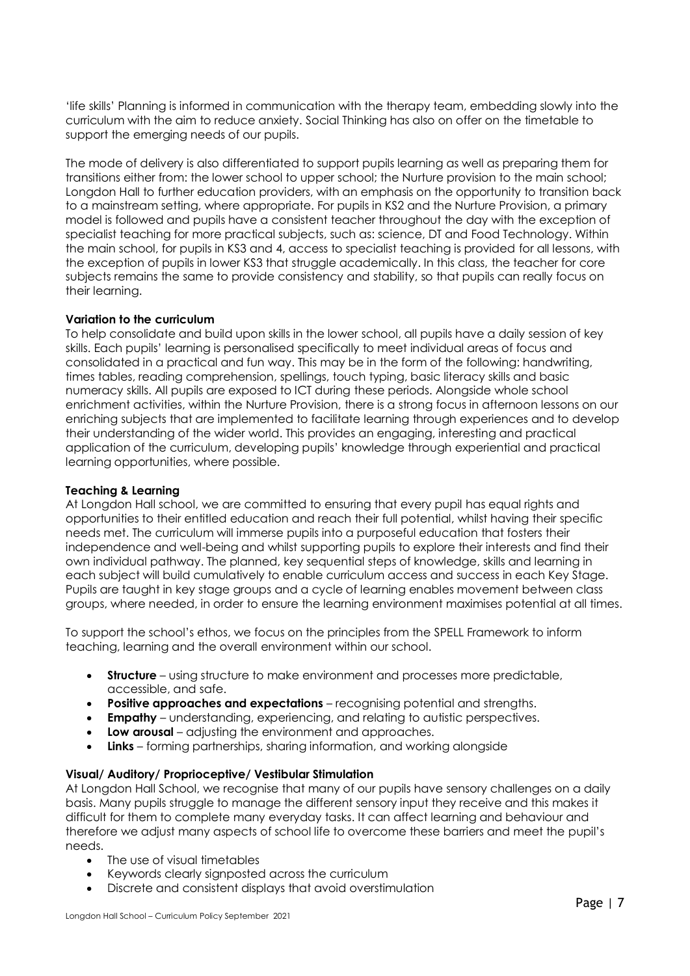'life skills' Planning is informed in communication with the therapy team, embedding slowly into the curriculum with the aim to reduce anxiety. Social Thinking has also on offer on the timetable to support the emerging needs of our pupils.

The mode of delivery is also differentiated to support pupils learning as well as preparing them for transitions either from: the lower school to upper school; the Nurture provision to the main school; Longdon Hall to further education providers, with an emphasis on the opportunity to transition back to a mainstream setting, where appropriate. For pupils in KS2 and the Nurture Provision, a primary model is followed and pupils have a consistent teacher throughout the day with the exception of specialist teaching for more practical subjects, such as: science, DT and Food Technology. Within the main school, for pupils in KS3 and 4, access to specialist teaching is provided for all lessons, with the exception of pupils in lower KS3 that struggle academically. In this class, the teacher for core subjects remains the same to provide consistency and stability, so that pupils can really focus on their learning.

#### **Variation to the curriculum**

To help consolidate and build upon skills in the lower school, all pupils have a daily session of key skills. Each pupils' learning is personalised specifically to meet individual areas of focus and consolidated in a practical and fun way. This may be in the form of the following: handwriting, times tables, reading comprehension, spellings, touch typing, basic literacy skills and basic numeracy skills. All pupils are exposed to ICT during these periods. Alongside whole school enrichment activities, within the Nurture Provision, there is a strong focus in afternoon lessons on our enriching subjects that are implemented to facilitate learning through experiences and to develop their understanding of the wider world. This provides an engaging, interesting and practical application of the curriculum, developing pupils' knowledge through experiential and practical learning opportunities, where possible.

#### **Teaching & Learning**

At Longdon Hall school, we are committed to ensuring that every pupil has equal rights and opportunities to their entitled education and reach their full potential, whilst having their specific needs met. The curriculum will immerse pupils into a purposeful education that fosters their independence and well-being and whilst supporting pupils to explore their interests and find their own individual pathway. The planned, key sequential steps of knowledge, skills and learning in each subject will build cumulatively to enable curriculum access and success in each Key Stage. Pupils are taught in key stage groups and a cycle of learning enables movement between class groups, where needed, in order to ensure the learning environment maximises potential at all times.

To support the school's ethos, we focus on the principles from the SPELL Framework to inform teaching, learning and the overall environment within our school.

- **Structure** using structure to make environment and processes more predictable, accessible, and safe.
- **Positive approaches and expectations** recognising potential and strengths.
- **Empathy**  understanding, experiencing, and relating to autistic perspectives.
- **Low arousal** adjusting the environment and approaches.
- **Links**  forming partnerships, sharing information, and working alongside

#### **Visual/ Auditory/ Proprioceptive/ Vestibular Stimulation**

At Longdon Hall School, we recognise that many of our pupils have sensory challenges on a daily basis. Many pupils struggle to manage the different sensory input they receive and this makes it difficult for them to complete many everyday tasks. It can affect learning and behaviour and therefore we adjust many aspects of school life to overcome these barriers and meet the pupil's needs.

- The use of visual timetables
- Keywords clearly signposted across the curriculum
- Discrete and consistent displays that avoid overstimulation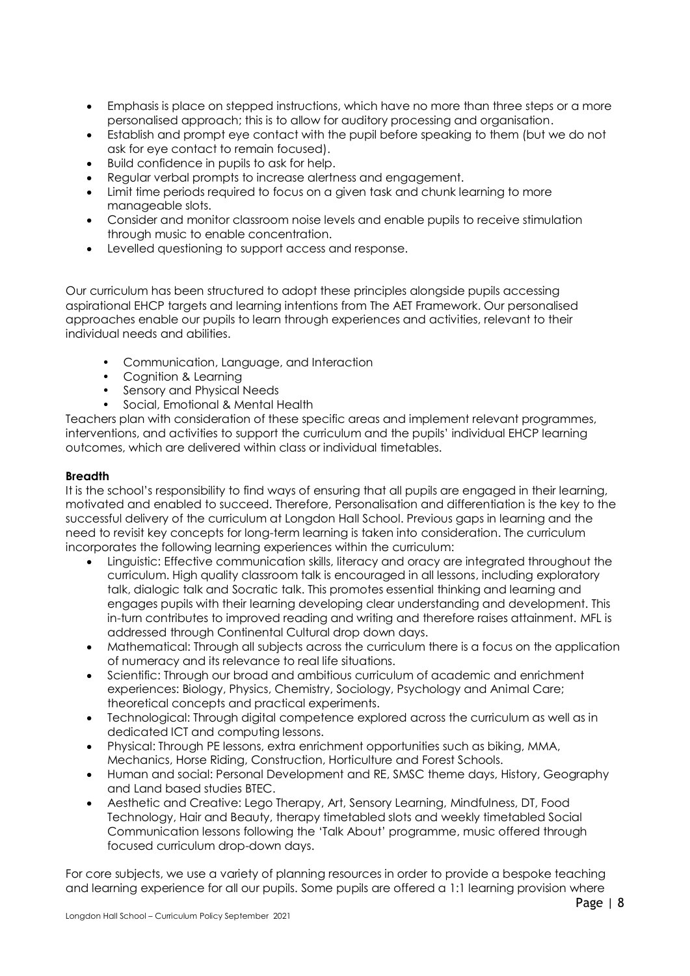- Emphasis is place on stepped instructions, which have no more than three steps or a more personalised approach; this is to allow for auditory processing and organisation.
- Establish and prompt eye contact with the pupil before speaking to them (but we do not ask for eye contact to remain focused).
- Build confidence in pupils to ask for help.
- Regular verbal prompts to increase alertness and engagement.
- Limit time periods required to focus on a given task and chunk learning to more manageable slots.
- Consider and monitor classroom noise levels and enable pupils to receive stimulation through music to enable concentration.
- Levelled questioning to support access and response.

Our curriculum has been structured to adopt these principles alongside pupils accessing aspirational EHCP targets and learning intentions from The AET Framework. Our personalised approaches enable our pupils to learn through experiences and activities, relevant to their individual needs and abilities.

- Communication, Language, and Interaction
- Cognition & Learning
- Sensory and Physical Needs
- Social, Emotional & Mental Health

Teachers plan with consideration of these specific areas and implement relevant programmes, interventions, and activities to support the curriculum and the pupils' individual EHCP learning outcomes, which are delivered within class or individual timetables.

#### **Breadth**

It is the school's responsibility to find ways of ensuring that all pupils are engaged in their learning, motivated and enabled to succeed. Therefore, Personalisation and differentiation is the key to the successful delivery of the curriculum at Longdon Hall School. Previous gaps in learning and the need to revisit key concepts for long-term learning is taken into consideration. The curriculum incorporates the following learning experiences within the curriculum:

- Linguistic: Effective communication skills, literacy and oracy are integrated throughout the curriculum. High quality classroom talk is encouraged in all lessons, including exploratory talk, dialogic talk and Socratic talk. This promotes essential thinking and learning and engages pupils with their learning developing clear understanding and development. This in-turn contributes to improved reading and writing and therefore raises attainment. MFL is addressed through Continental Cultural drop down days.
- Mathematical: Through all subjects across the curriculum there is a focus on the application of numeracy and its relevance to real life situations.
- Scientific: Through our broad and ambitious curriculum of academic and enrichment experiences: Biology, Physics, Chemistry, Sociology, Psychology and Animal Care; theoretical concepts and practical experiments.
- Technological: Through digital competence explored across the curriculum as well as in dedicated ICT and computing lessons.
- Physical: Through PE lessons, extra enrichment opportunities such as biking, MMA, Mechanics, Horse Riding, Construction, Horticulture and Forest Schools.
- Human and social: Personal Development and RE, SMSC theme days, History, Geography and Land based studies BTEC.
- Aesthetic and Creative: Lego Therapy, Art, Sensory Learning, Mindfulness, DT, Food Technology, Hair and Beauty, therapy timetabled slots and weekly timetabled Social Communication lessons following the 'Talk About' programme, music offered through focused curriculum drop-down days.

For core subjects, we use a variety of planning resources in order to provide a bespoke teaching and learning experience for all our pupils. Some pupils are offered a 1:1 learning provision where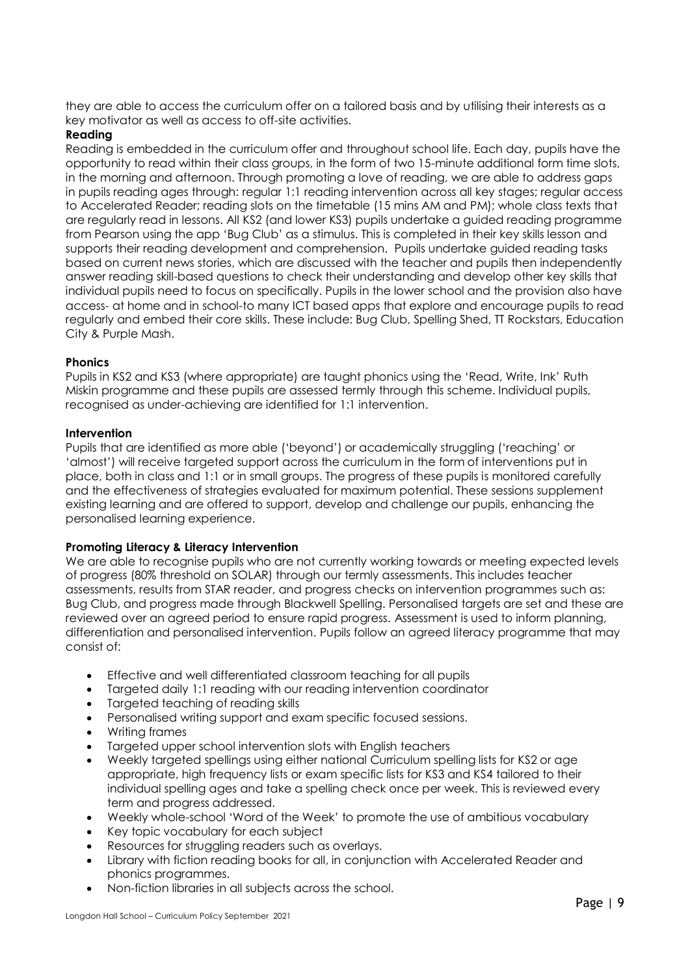they are able to access the curriculum offer on a tailored basis and by utilising their interests as a key motivator as well as access to off-site activities.

### **Reading**

Reading is embedded in the curriculum offer and throughout school life. Each day, pupils have the opportunity to read within their class groups, in the form of two 15-minute additional form time slots, in the morning and afternoon. Through promoting a love of reading, we are able to address gaps in pupils reading ages through: regular 1:1 reading intervention across all key stages; regular access to Accelerated Reader; reading slots on the timetable (15 mins AM and PM); whole class texts that are regularly read in lessons. All KS2 (and lower KS3) pupils undertake a guided reading programme from Pearson using the app 'Bug Club' as a stimulus. This is completed in their key skills lesson and supports their reading development and comprehension. Pupils undertake guided reading tasks based on current news stories, which are discussed with the teacher and pupils then independently answer reading skill-based questions to check their understanding and develop other key skills that individual pupils need to focus on specifically. Pupils in the lower school and the provision also have access- at home and in school-to many ICT based apps that explore and encourage pupils to read regularly and embed their core skills. These include: Bug Club, Spelling Shed, TT Rockstars, Education City & Purple Mash.

#### **Phonics**

Pupils in KS2 and KS3 (where appropriate) are taught phonics using the 'Read, Write, Ink' Ruth Miskin programme and these pupils are assessed termly through this scheme. Individual pupils, recognised as under-achieving are identified for 1:1 intervention.

#### **Intervention**

Pupils that are identified as more able ('beyond') or academically struggling ('reaching' or 'almost') will receive targeted support across the curriculum in the form of interventions put in place, both in class and 1:1 or in small groups. The progress of these pupils is monitored carefully and the effectiveness of strategies evaluated for maximum potential. These sessions supplement existing learning and are offered to support, develop and challenge our pupils, enhancing the personalised learning experience.

#### **Promoting Literacy & Literacy Intervention**

We are able to recognise pupils who are not currently working towards or meeting expected levels of progress (80% threshold on SOLAR) through our termly assessments. This includes teacher assessments, results from STAR reader, and progress checks on intervention programmes such as: Bug Club, and progress made through Blackwell Spelling. Personalised targets are set and these are reviewed over an agreed period to ensure rapid progress. Assessment is used to inform planning, differentiation and personalised intervention. Pupils follow an agreed literacy programme that may consist of:

- Effective and well differentiated classroom teaching for all pupils
- Targeted daily 1:1 reading with our reading intervention coordinator
- Targeted teaching of reading skills
- Personalised writing support and exam specific focused sessions.
- Writing frames
- Targeted upper school intervention slots with English teachers
- Weekly targeted spellings using either national Curriculum spelling lists for KS2 or age appropriate, high frequency lists or exam specific lists for KS3 and KS4 tailored to their individual spelling ages and take a spelling check once per week. This is reviewed every term and progress addressed.
- Weekly whole-school 'Word of the Week' to promote the use of ambitious vocabulary
- Key topic vocabulary for each subject
- Resources for struggling readers such as overlays.
- Library with fiction reading books for all, in conjunction with Accelerated Reader and phonics programmes.
- Non-fiction libraries in all subjects across the school.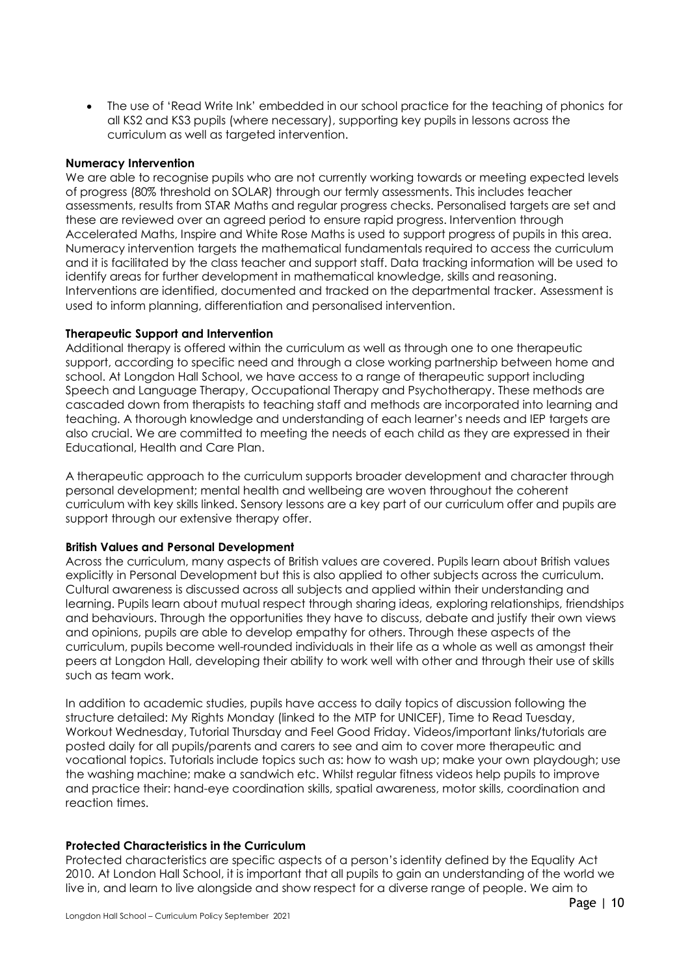The use of 'Read Write Ink' embedded in our school practice for the teaching of phonics for all KS2 and KS3 pupils (where necessary), supporting key pupils in lessons across the curriculum as well as targeted intervention.

#### **Numeracy Intervention**

We are able to recognise pupils who are not currently working towards or meeting expected levels of progress (80% threshold on SOLAR) through our termly assessments. This includes teacher assessments, results from STAR Maths and regular progress checks. Personalised targets are set and these are reviewed over an agreed period to ensure rapid progress. Intervention through Accelerated Maths, Inspire and White Rose Maths is used to support progress of pupils in this area. Numeracy intervention targets the mathematical fundamentals required to access the curriculum and it is facilitated by the class teacher and support staff. Data tracking information will be used to identify areas for further development in mathematical knowledge, skills and reasoning. Interventions are identified, documented and tracked on the departmental tracker. Assessment is used to inform planning, differentiation and personalised intervention.

#### **Therapeutic Support and Intervention**

Additional therapy is offered within the curriculum as well as through one to one therapeutic support, according to specific need and through a close working partnership between home and school. At Longdon Hall School, we have access to a range of therapeutic support including Speech and Language Therapy, Occupational Therapy and Psychotherapy. These methods are cascaded down from therapists to teaching staff and methods are incorporated into learning and teaching. A thorough knowledge and understanding of each learner's needs and IEP targets are also crucial. We are committed to meeting the needs of each child as they are expressed in their Educational, Health and Care Plan.

A therapeutic approach to the curriculum supports broader development and character through personal development; mental health and wellbeing are woven throughout the coherent curriculum with key skills linked. Sensory lessons are a key part of our curriculum offer and pupils are support through our extensive therapy offer.

#### **British Values and Personal Development**

Across the curriculum, many aspects of British values are covered. Pupils learn about British values explicitly in Personal Development but this is also applied to other subjects across the curriculum. Cultural awareness is discussed across all subjects and applied within their understanding and learning. Pupils learn about mutual respect through sharing ideas, exploring relationships, friendships and behaviours. Through the opportunities they have to discuss, debate and justify their own views and opinions, pupils are able to develop empathy for others. Through these aspects of the curriculum, pupils become well-rounded individuals in their life as a whole as well as amongst their peers at Longdon Hall, developing their ability to work well with other and through their use of skills such as team work.

In addition to academic studies, pupils have access to daily topics of discussion following the structure detailed: My Rights Monday (linked to the MTP for UNICEF), Time to Read Tuesday, Workout Wednesday, Tutorial Thursday and Feel Good Friday. Videos/important links/tutorials are posted daily for all pupils/parents and carers to see and aim to cover more therapeutic and vocational topics. Tutorials include topics such as: how to wash up; make your own playdough; use the washing machine; make a sandwich etc. Whilst regular fitness videos help pupils to improve and practice their: hand-eye coordination skills, spatial awareness, motor skills, coordination and reaction times.

#### **Protected Characteristics in the Curriculum**

Protected characteristics are specific aspects of a person's identity defined by the Equality Act 2010. At London Hall School, it is important that all pupils to gain an understanding of the world we live in, and learn to live alongside and show respect for a diverse range of people. We aim to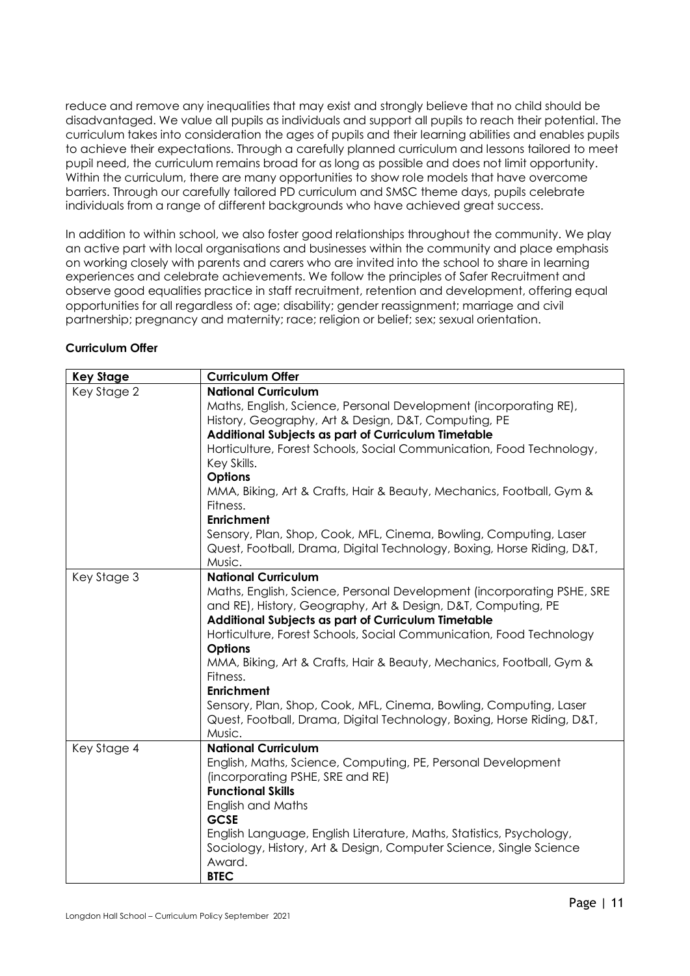reduce and remove any inequalities that may exist and strongly believe that no child should be disadvantaged. We value all pupils as individuals and support all pupils to reach their potential. The curriculum takes into consideration the ages of pupils and their learning abilities and enables pupils to achieve their expectations. Through a carefully planned curriculum and lessons tailored to meet pupil need, the curriculum remains broad for as long as possible and does not limit opportunity. Within the curriculum, there are many opportunities to show role models that have overcome barriers. Through our carefully tailored PD curriculum and SMSC theme days, pupils celebrate individuals from a range of different backgrounds who have achieved great success.

In addition to within school, we also foster good relationships throughout the community. We play an active part with local organisations and businesses within the community and place emphasis on working closely with parents and carers who are invited into the school to share in learning experiences and celebrate achievements. We follow the principles of Safer Recruitment and observe good equalities practice in staff recruitment, retention and development, offering equal opportunities for all regardless of: age; disability; gender reassignment; marriage and civil partnership; pregnancy and maternity; race; religion or belief; sex; sexual orientation.

#### **Curriculum Offer**

| <b>Key Stage</b> | <b>Curriculum Offer</b>                                                                                                                     |
|------------------|---------------------------------------------------------------------------------------------------------------------------------------------|
| Key Stage 2      | <b>National Curriculum</b>                                                                                                                  |
|                  | Maths, English, Science, Personal Development (incorporating RE),                                                                           |
|                  | History, Geography, Art & Design, D&T, Computing, PE                                                                                        |
|                  | Additional Subjects as part of Curriculum Timetable                                                                                         |
|                  | Horticulture, Forest Schools, Social Communication, Food Technology,                                                                        |
|                  | Key Skills.                                                                                                                                 |
|                  | <b>Options</b>                                                                                                                              |
|                  | MMA, Biking, Art & Crafts, Hair & Beauty, Mechanics, Football, Gym &                                                                        |
|                  | Fitness.                                                                                                                                    |
|                  | <b>Enrichment</b>                                                                                                                           |
|                  | Sensory, Plan, Shop, Cook, MFL, Cinema, Bowling, Computing, Laser                                                                           |
|                  | Quest, Football, Drama, Digital Technology, Boxing, Horse Riding, D&T,                                                                      |
|                  | Music.                                                                                                                                      |
| Key Stage 3      | <b>National Curriculum</b>                                                                                                                  |
|                  | Maths, English, Science, Personal Development (incorporating PSHE, SRE                                                                      |
|                  | and RE), History, Geography, Art & Design, D&T, Computing, PE                                                                               |
|                  | Additional Subjects as part of Curriculum Timetable                                                                                         |
|                  | Horticulture, Forest Schools, Social Communication, Food Technology                                                                         |
|                  | <b>Options</b>                                                                                                                              |
|                  | MMA, Biking, Art & Crafts, Hair & Beauty, Mechanics, Football, Gym &                                                                        |
|                  | Fitness.                                                                                                                                    |
|                  | <b>Enrichment</b>                                                                                                                           |
|                  | Sensory, Plan, Shop, Cook, MFL, Cinema, Bowling, Computing, Laser<br>Quest, Football, Drama, Digital Technology, Boxing, Horse Riding, D&T, |
|                  | Music.                                                                                                                                      |
| Key Stage 4      | <b>National Curriculum</b>                                                                                                                  |
|                  | English, Maths, Science, Computing, PE, Personal Development                                                                                |
|                  | (incorporating PSHE, SRE and RE)                                                                                                            |
|                  | <b>Functional Skills</b>                                                                                                                    |
|                  | English and Maths                                                                                                                           |
|                  | <b>GCSE</b>                                                                                                                                 |
|                  | English Language, English Literature, Maths, Statistics, Psychology,                                                                        |
|                  | Sociology, History, Art & Design, Computer Science, Single Science                                                                          |
|                  | Award.                                                                                                                                      |
|                  | <b>BTEC</b>                                                                                                                                 |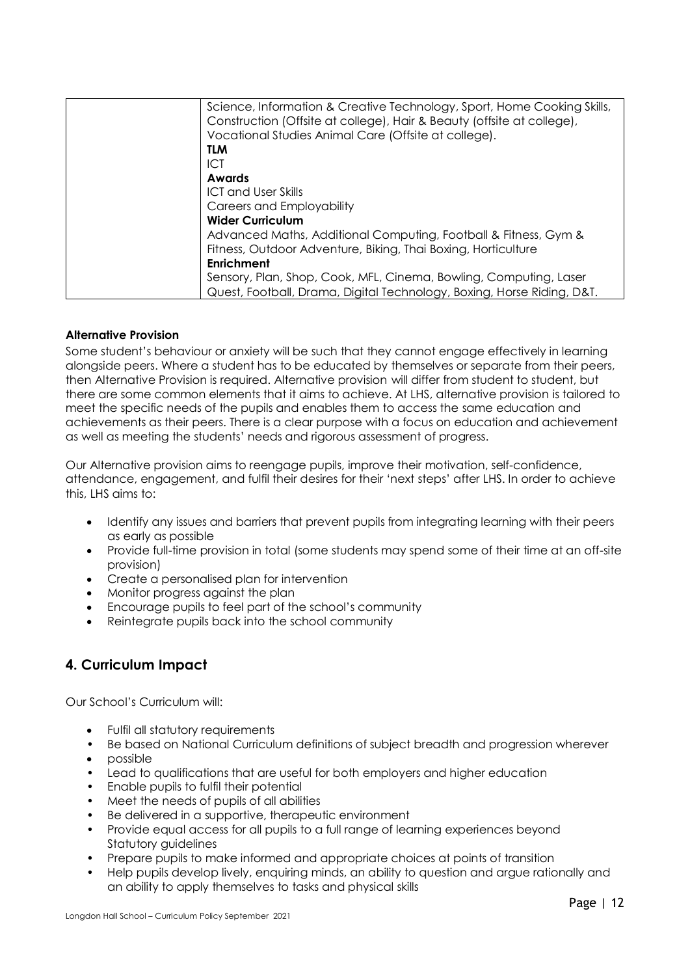| Science, Information & Creative Technology, Sport, Home Cooking Skills,<br>Construction (Offsite at college), Hair & Beauty (offsite at college),<br>Vocational Studies Animal Care (Offsite at college). |
|-----------------------------------------------------------------------------------------------------------------------------------------------------------------------------------------------------------|
| <b>TLM</b>                                                                                                                                                                                                |
| ICT                                                                                                                                                                                                       |
| Awards                                                                                                                                                                                                    |
| <b>ICT and User Skills</b>                                                                                                                                                                                |
| Careers and Employability                                                                                                                                                                                 |
| <b>Wider Curriculum</b>                                                                                                                                                                                   |
| Advanced Maths, Additional Computing, Football & Fitness, Gym &                                                                                                                                           |
| Fitness, Outdoor Adventure, Biking, Thai Boxing, Horticulture                                                                                                                                             |
| <b>Enrichment</b>                                                                                                                                                                                         |
| Sensory, Plan, Shop, Cook, MFL, Cinema, Bowling, Computing, Laser                                                                                                                                         |
| Quest, Football, Drama, Digital Technology, Boxing, Horse Riding, D&T.                                                                                                                                    |

#### **Alternative Provision**

Some student's behaviour or anxiety will be such that they cannot engage effectively in learning alongside peers. Where a student has to be educated by themselves or separate from their peers, then Alternative Provision is required. Alternative provision will differ from student to student, but there are some common elements that it aims to achieve. At LHS, alternative provision is tailored to meet the specific needs of the pupils and enables them to access the same education and achievements as their peers. There is a clear purpose with a focus on education and achievement as well as meeting the students' needs and rigorous assessment of progress.

Our Alternative provision aims to reengage pupils, improve their motivation, self-confidence, attendance, engagement, and fulfil their desires for their 'next steps' after LHS. In order to achieve this, LHS aims to:

- Identify any issues and barriers that prevent pupils from integrating learning with their peers as early as possible
- Provide full-time provision in total (some students may spend some of their time at an off-site provision)
- Create a personalised plan for intervention
- Monitor progress against the plan
- Encourage pupils to feel part of the school's community
- Reintegrate pupils back into the school community

## **4. Curriculum Impact**

Our School's Curriculum will:

- Fulfil all statutory requirements
- Be based on National Curriculum definitions of subject breadth and progression wherever
- possible
- Lead to qualifications that are useful for both employers and higher education
- Enable pupils to fulfil their potential
- Meet the needs of pupils of all abilities
- Be delivered in a supportive, therapeutic environment
- Provide equal access for all pupils to a full range of learning experiences beyond Statutory guidelines
- Prepare pupils to make informed and appropriate choices at points of transition
- Help pupils develop lively, enquiring minds, an ability to question and argue rationally and an ability to apply themselves to tasks and physical skills